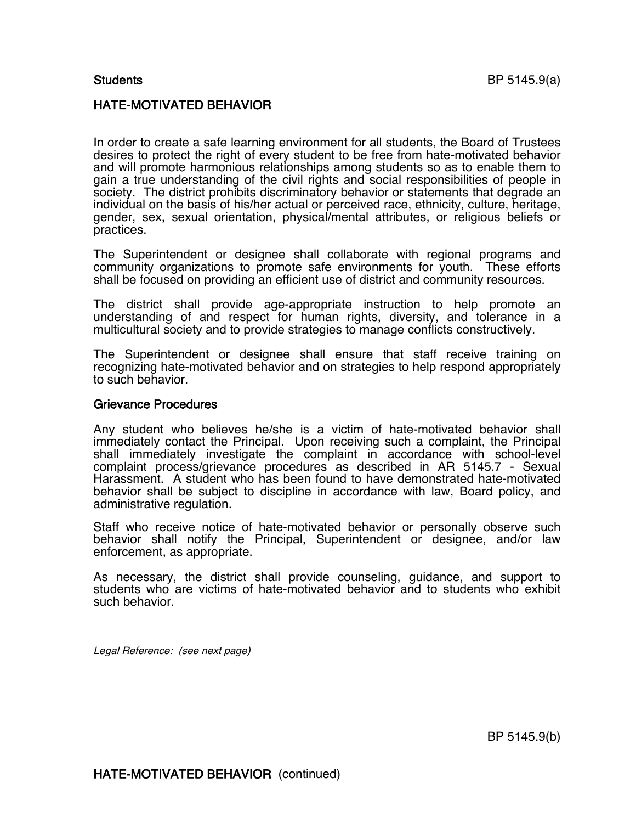## HATE-MOTIVATED BEHAVIOR

In order to create a safe learning environment for all students, the Board of Trustees desires to protect the right of every student to be free from hate-motivated behavior and will promote harmonious relationships among students so as to enable them to gain a true understanding of the civil rights and social responsibilities of people in society. The district prohibits discriminatory behavior or statements that degrade an individual on the basis of his/her actual or perceived race, ethnicity, culture, heritage, gender, sex, sexual orientation, physical/mental attributes, or religious beliefs or practices.

The Superintendent or designee shall collaborate with regional programs and community organizations to promote safe environments for youth. These efforts shall be focused on providing an efficient use of district and community resources.

The district shall provide age-appropriate instruction to help promote an understanding of and respect for human rights, diversity, and tolerance in a multicultural society and to provide strategies to manage conflicts constructively.

The Superintendent or designee shall ensure that staff receive training on recognizing hate-motivated behavior and on strategies to help respond appropriately to such behavior.

## Grievance Procedures

Any student who believes he/she is a victim of hate-motivated behavior shall immediately contact the Principal. Upon receiving such a complaint, the Principal shall immediately investigate the complaint in accordance with school-level complaint process/grievance procedures as described in AR 5145.7 - Sexual Harassment. A student who has been found to have demonstrated hate-motivated behavior shall be subject to discipline in accordance with law, Board policy, and administrative regulation.

Staff who receive notice of hate-motivated behavior or personally observe such behavior shall notify the Principal, Superintendent or designee, and/or law enforcement, as appropriate.

As necessary, the district shall provide counseling, guidance, and support to students who are victims of hate-motivated behavior and to students who exhibit such behavior.

Legal Reference: (see next page)